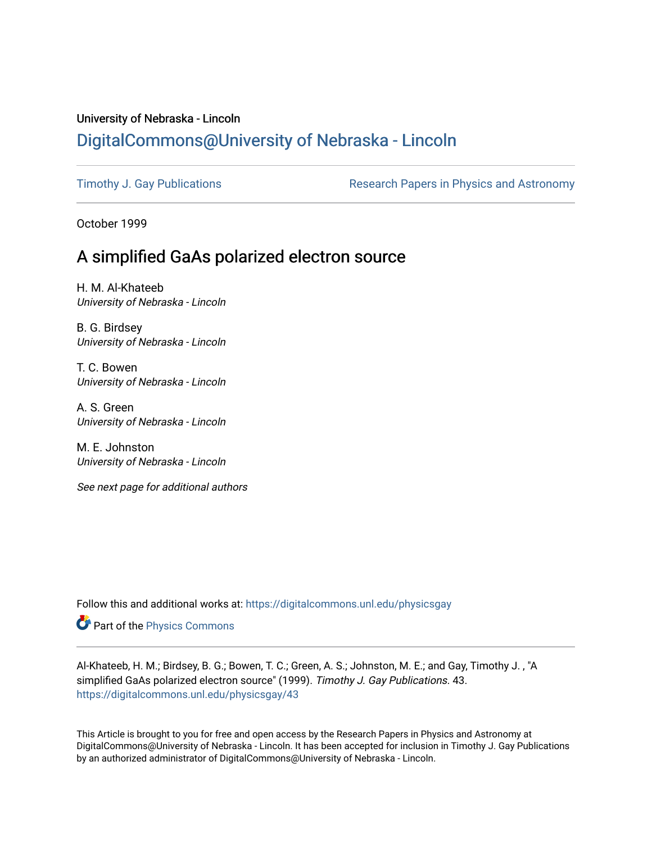# University of Nebraska - Lincoln [DigitalCommons@University of Nebraska - Lincoln](https://digitalcommons.unl.edu/)

[Timothy J. Gay Publications](https://digitalcommons.unl.edu/physicsgay) **Research Papers in Physics and Astronomy** 

October 1999

# A simplified GaAs polarized electron source

H. M. Al-Khateeb University of Nebraska - Lincoln

B. G. Birdsey University of Nebraska - Lincoln

T. C. Bowen University of Nebraska - Lincoln

A. S. Green University of Nebraska - Lincoln

M. E. Johnston University of Nebraska - Lincoln

See next page for additional authors

Follow this and additional works at: [https://digitalcommons.unl.edu/physicsgay](https://digitalcommons.unl.edu/physicsgay?utm_source=digitalcommons.unl.edu%2Fphysicsgay%2F43&utm_medium=PDF&utm_campaign=PDFCoverPages)

Part of the [Physics Commons](http://network.bepress.com/hgg/discipline/193?utm_source=digitalcommons.unl.edu%2Fphysicsgay%2F43&utm_medium=PDF&utm_campaign=PDFCoverPages)

Al-Khateeb, H. M.; Birdsey, B. G.; Bowen, T. C.; Green, A. S.; Johnston, M. E.; and Gay, Timothy J. , "A simplified GaAs polarized electron source" (1999). Timothy J. Gay Publications. 43. [https://digitalcommons.unl.edu/physicsgay/43](https://digitalcommons.unl.edu/physicsgay/43?utm_source=digitalcommons.unl.edu%2Fphysicsgay%2F43&utm_medium=PDF&utm_campaign=PDFCoverPages) 

This Article is brought to you for free and open access by the Research Papers in Physics and Astronomy at DigitalCommons@University of Nebraska - Lincoln. It has been accepted for inclusion in Timothy J. Gay Publications by an authorized administrator of DigitalCommons@University of Nebraska - Lincoln.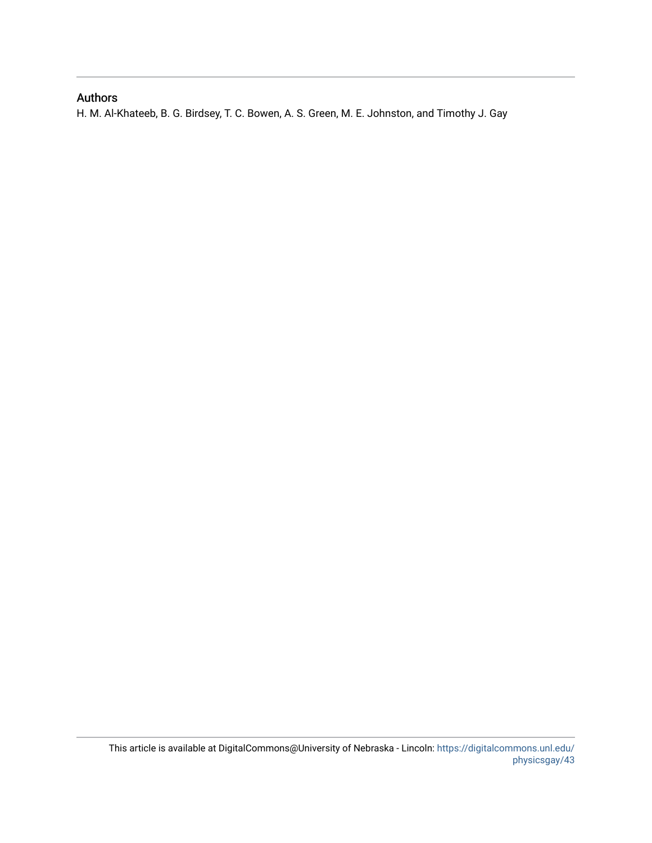# Authors

H. M. Al-Khateeb, B. G. Birdsey, T. C. Bowen, A. S. Green, M. E. Johnston, and Timothy J. Gay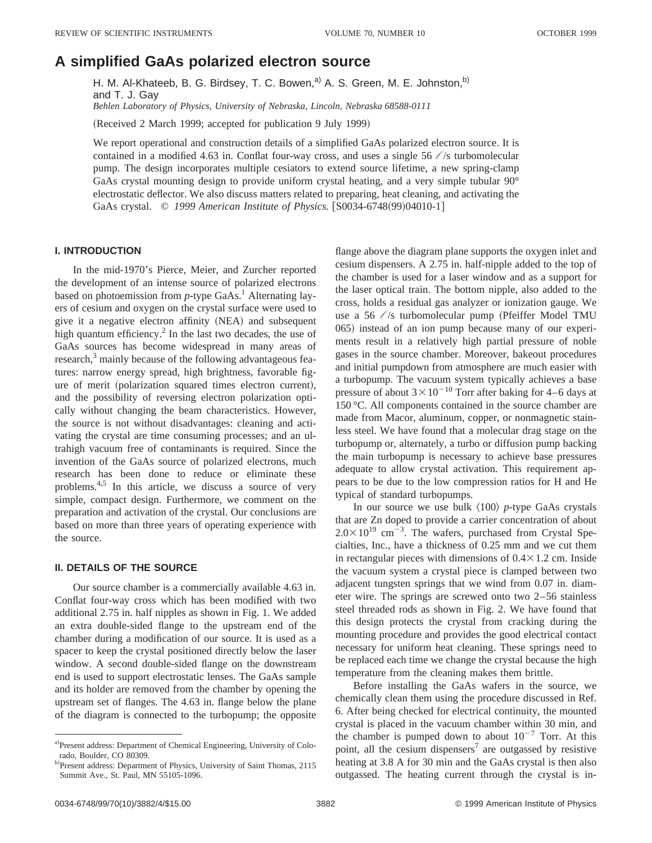# **A simplified GaAs polarized electron source**

H. M. Al-Khateeb, B. G. Birdsey, T. C. Bowen,<sup>a)</sup> A. S. Green, M. E. Johnston,<sup>b)</sup> and T. J. Gay *Behlen Laboratory of Physics, University of Nebraska, Lincoln, Nebraska 68588-0111*

(Received 2 March 1999; accepted for publication 9 July 1999)

We report operational and construction details of a simplified GaAs polarized electron source. It is contained in a modified 4.63 in. Conflat four-way cross, and uses a single  $56 / s$  turbomolecular pump. The design incorporates multiple cesiators to extend source lifetime, a new spring-clamp GaAs crystal mounting design to provide uniform crystal heating, and a very simple tubular 90° electrostatic deflector. We also discuss matters related to preparing, heat cleaning, and activating the GaAs crystal. © 1999 American Institute of Physics. [S0034-6748(99)04010-1]

## **I. INTRODUCTION**

In the mid-1970's Pierce, Meier, and Zurcher reported the development of an intense source of polarized electrons based on photoemission from *p*-type GaAs.<sup>1</sup> Alternating layers of cesium and oxygen on the crystal surface were used to give it a negative electron affinity (NEA) and subsequent high quantum efficiency. $^{2}$  In the last two decades, the use of GaAs sources has become widespread in many areas of research,<sup>3</sup> mainly because of the following advantageous features: narrow energy spread, high brightness, favorable figure of merit (polarization squared times electron current), and the possibility of reversing electron polarization optically without changing the beam characteristics. However, the source is not without disadvantages: cleaning and activating the crystal are time consuming processes; and an ultrahigh vacuum free of contaminants is required. Since the invention of the GaAs source of polarized electrons, much research has been done to reduce or eliminate these problems.<sup>4,5</sup> In this article, we discuss a source of very simple, compact design. Furthermore, we comment on the preparation and activation of the crystal. Our conclusions are based on more than three years of operating experience with the source.

### **II. DETAILS OF THE SOURCE**

Our source chamber is a commercially available 4.63 in. Conflat four-way cross which has been modified with two additional 2.75 in. half nipples as shown in Fig. 1. We added an extra double-sided flange to the upstream end of the chamber during a modification of our source. It is used as a spacer to keep the crystal positioned directly below the laser window. A second double-sided flange on the downstream end is used to support electrostatic lenses. The GaAs sample and its holder are removed from the chamber by opening the upstream set of flanges. The 4.63 in. flange below the plane of the diagram is connected to the turbopump; the opposite flange above the diagram plane supports the oxygen inlet and cesium dispensers. A 2.75 in. half-nipple added to the top of the chamber is used for a laser window and as a support for the laser optical train. The bottom nipple, also added to the cross, holds a residual gas analyzer or ionization gauge. We use a 56  $\ell$ /s turbomolecular pump (Pfeiffer Model TMU 065) instead of an ion pump because many of our experiments result in a relatively high partial pressure of noble gases in the source chamber. Moreover, bakeout procedures and initial pumpdown from atmosphere are much easier with a turbopump. The vacuum system typically achieves a base pressure of about  $3 \times 10^{-10}$  Torr after baking for 4–6 days at 150 °C. All components contained in the source chamber are made from Macor, aluminum, copper, or nonmagnetic stainless steel. We have found that a molecular drag stage on the turbopump or, alternately, a turbo or diffusion pump backing the main turbopump is necessary to achieve base pressures adequate to allow crystal activation. This requirement appears to be due to the low compression ratios for H and He typical of standard turbopumps.

In our source we use bulk  $\langle 100 \rangle$  *p*-type GaAs crystals that are Zn doped to provide a carrier concentration of about  $2.0 \times 10^{19}$  cm<sup>-3</sup>. The wafers, purchased from Crystal Specialties, Inc., have a thickness of 0.25 mm and we cut them in rectangular pieces with dimensions of  $0.4 \times 1.2$  cm. Inside the vacuum system a crystal piece is clamped between two adjacent tungsten springs that we wind from 0.07 in. diameter wire. The springs are screwed onto two 2–56 stainless steel threaded rods as shown in Fig. 2. We have found that this design protects the crystal from cracking during the mounting procedure and provides the good electrical contact necessary for uniform heat cleaning. These springs need to be replaced each time we change the crystal because the high temperature from the cleaning makes them brittle.

Before installing the GaAs wafers in the source, we chemically clean them using the procedure discussed in Ref. 6. After being checked for electrical continuity, the mounted crystal is placed in the vacuum chamber within 30 min, and the chamber is pumped down to about  $10^{-7}$  Torr. At this point, all the cesium dispensers<sup>7</sup> are outgassed by resistive heating at 3.8 A for 30 min and the GaAs crystal is then also outgassed. The heating current through the crystal is in-

a)Present address: Department of Chemical Engineering, University of Colorado, Boulder, CO 80309.

b)Present address: Department of Physics, University of Saint Thomas, 2115 Summit Ave., St. Paul, MN 55105-1096.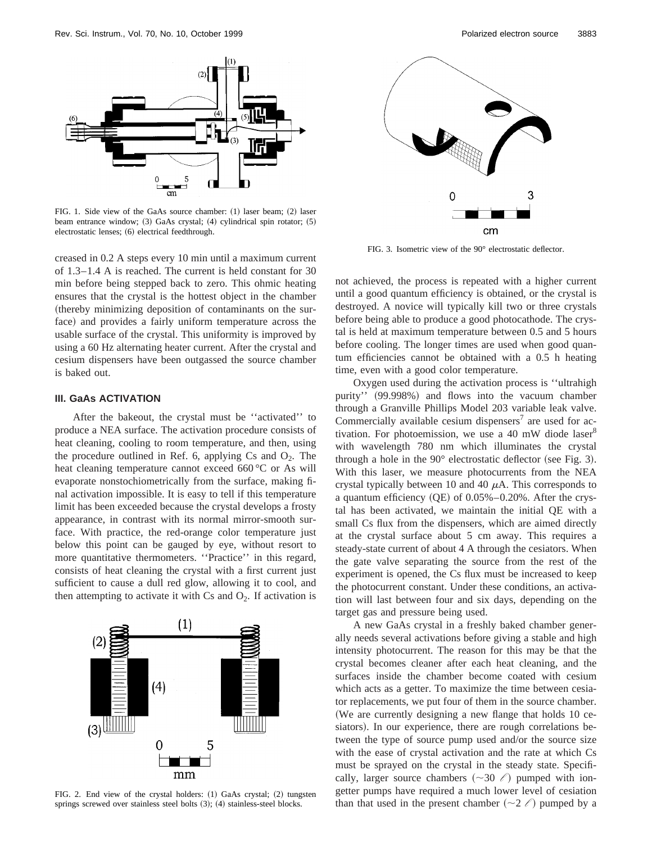

FIG. 1. Side view of the GaAs source chamber:  $(1)$  laser beam;  $(2)$  laser beam entrance window; (3) GaAs crystal; (4) cylindrical spin rotator; (5) electrostatic lenses; (6) electrical feedthrough.

creased in 0.2 A steps every 10 min until a maximum current of 1.3–1.4 A is reached. The current is held constant for 30 min before being stepped back to zero. This ohmic heating ensures that the crystal is the hottest object in the chamber (thereby minimizing deposition of contaminants on the surface) and provides a fairly uniform temperature across the usable surface of the crystal. This uniformity is improved by using a 60 Hz alternating heater current. After the crystal and cesium dispensers have been outgassed the source chamber is baked out.

### **III. GaAs ACTIVATION**

After the bakeout, the crystal must be ''activated'' to produce a NEA surface. The activation procedure consists of heat cleaning, cooling to room temperature, and then, using the procedure outlined in Ref. 6, applying Cs and  $O_2$ . The heat cleaning temperature cannot exceed 660 °C or As will evaporate nonstochiometrically from the surface, making final activation impossible. It is easy to tell if this temperature limit has been exceeded because the crystal develops a frosty appearance, in contrast with its normal mirror-smooth surface. With practice, the red-orange color temperature just below this point can be gauged by eye, without resort to more quantitative thermometers. ''Practice'' in this regard, consists of heat cleaning the crystal with a first current just sufficient to cause a dull red glow, allowing it to cool, and then attempting to activate it with Cs and  $O_2$ . If activation is



FIG. 2. End view of the crystal holders: (1) GaAs crystal; (2) tungsten springs screwed over stainless steel bolts  $(3)$ ;  $(4)$  stainless-steel blocks.



FIG. 3. Isometric view of the 90° electrostatic deflector.

not achieved, the process is repeated with a higher current until a good quantum efficiency is obtained, or the crystal is destroyed. A novice will typically kill two or three crystals before being able to produce a good photocathode. The crystal is held at maximum temperature between 0.5 and 5 hours before cooling. The longer times are used when good quantum efficiencies cannot be obtained with a 0.5 h heating time, even with a good color temperature.

Oxygen used during the activation process is ''ultrahigh purity''  $(99.998\%)$  and flows into the vacuum chamber through a Granville Phillips Model 203 variable leak valve. Commercially available cesium dispensers<sup>7</sup> are used for activation. For photoemission, we use a 40 mW diode laser $8$ with wavelength 780 nm which illuminates the crystal through a hole in the  $90^\circ$  electrostatic deflector (see Fig. 3). With this laser, we measure photocurrents from the NEA crystal typically between 10 and 40  $\mu$ A. This corresponds to a quantum efficiency  $(QE)$  of 0.05%–0.20%. After the crystal has been activated, we maintain the initial QE with a small Cs flux from the dispensers, which are aimed directly at the crystal surface about 5 cm away. This requires a steady-state current of about 4 A through the cesiators. When the gate valve separating the source from the rest of the experiment is opened, the Cs flux must be increased to keep the photocurrent constant. Under these conditions, an activation will last between four and six days, depending on the target gas and pressure being used.

A new GaAs crystal in a freshly baked chamber generally needs several activations before giving a stable and high intensity photocurrent. The reason for this may be that the crystal becomes cleaner after each heat cleaning, and the surfaces inside the chamber become coated with cesium which acts as a getter. To maximize the time between cesiator replacements, we put four of them in the source chamber. (We are currently designing a new flange that holds 10 cesiators). In our experience, there are rough correlations between the type of source pump used and/or the source size with the ease of crystal activation and the rate at which Cs must be sprayed on the crystal in the steady state. Specifically, larger source chambers  $(\sim 30 \ell)$  pumped with iongetter pumps have required a much lower level of cesiation than that used in the present chamber  $(\sim 2 \ell)$  pumped by a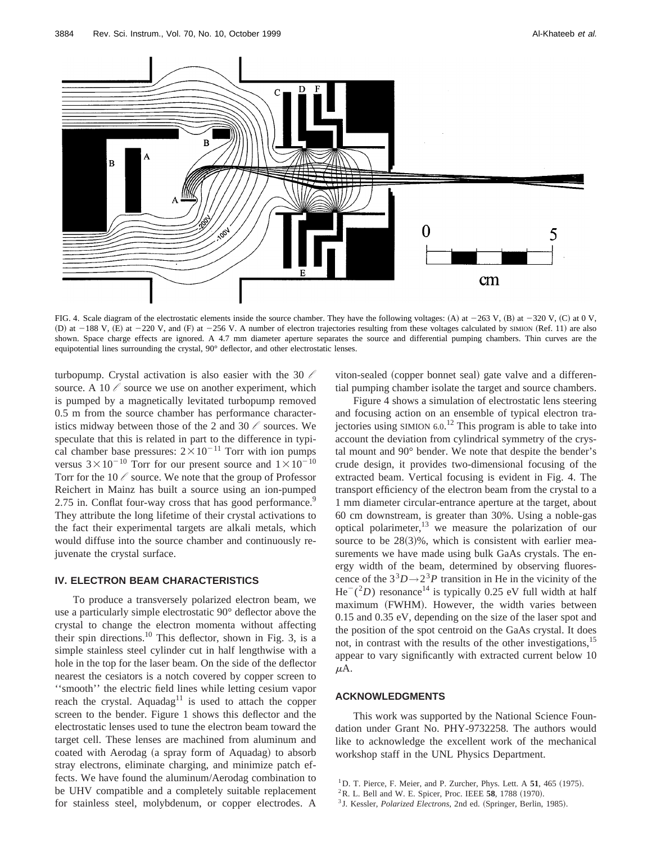

FIG. 4. Scale diagram of the electrostatic elements inside the source chamber. They have the following voltages: (A) at  $-263$  V, (B) at  $-320$  V, (C) at 0 V, (D) at  $-188$  V, (E) at  $-220$  V, and (F) at  $-256$  V. A number of electron trajectories resulting from these voltages calculated by SIMION (Ref. 11) are also shown. Space charge effects are ignored. A 4.7 mm diameter aperture separates the source and differential pumping chambers. Thin curves are the equipotential lines surrounding the crystal, 90° deflector, and other electrostatic lenses.

turbopump. Crystal activation is also easier with the 30 *l* source. A 10  $\ell$  source we use on another experiment, which is pumped by a magnetically levitated turbopump removed 0.5 m from the source chamber has performance characteristics midway between those of the 2 and 30 *l* sources. We speculate that this is related in part to the difference in typical chamber base pressures:  $2 \times 10^{-11}$  Torr with ion pumps versus  $3 \times 10^{-10}$  Torr for our present source and  $1 \times 10^{-10}$ Torr for the 10  $\ell$  source. We note that the group of Professor Reichert in Mainz has built a source using an ion-pumped 2.75 in. Conflat four-way cross that has good performance.<sup>9</sup> They attribute the long lifetime of their crystal activations to the fact their experimental targets are alkali metals, which would diffuse into the source chamber and continuously rejuvenate the crystal surface.

## **IV. ELECTRON BEAM CHARACTERISTICS**

To produce a transversely polarized electron beam, we use a particularly simple electrostatic 90° deflector above the crystal to change the electron momenta without affecting their spin directions.<sup>10</sup> This deflector, shown in Fig. 3, is a simple stainless steel cylinder cut in half lengthwise with a hole in the top for the laser beam. On the side of the deflector nearest the cesiators is a notch covered by copper screen to ''smooth'' the electric field lines while letting cesium vapor reach the crystal. Aquadag<sup>11</sup> is used to attach the copper screen to the bender. Figure 1 shows this deflector and the electrostatic lenses used to tune the electron beam toward the target cell. These lenses are machined from aluminum and coated with Aerodag (a spray form of Aquadag) to absorb stray electrons, eliminate charging, and minimize patch effects. We have found the aluminum/Aerodag combination to be UHV compatible and a completely suitable replacement for stainless steel, molybdenum, or copper electrodes. A

viton-sealed (copper bonnet seal) gate valve and a differential pumping chamber isolate the target and source chambers.

Figure 4 shows a simulation of electrostatic lens steering and focusing action on an ensemble of typical electron trajectories using SIMION 6.0.<sup>12</sup> This program is able to take into account the deviation from cylindrical symmetry of the crystal mount and 90° bender. We note that despite the bender's crude design, it provides two-dimensional focusing of the extracted beam. Vertical focusing is evident in Fig. 4. The transport efficiency of the electron beam from the crystal to a 1 mm diameter circular-entrance aperture at the target, about 60 cm downstream, is greater than 30%. Using a noble-gas optical polarimeter, $13$  we measure the polarization of our source to be  $28(3)\%$ , which is consistent with earlier measurements we have made using bulk GaAs crystals. The energy width of the beam, determined by observing fluorescence of the  $3<sup>3</sup>D \rightarrow 2<sup>3</sup>P$  transition in He in the vicinity of the  $He^{-}(^{2}D)$  resonance<sup>14</sup> is typically 0.25 eV full width at half maximum (FWHM). However, the width varies between 0.15 and 0.35 eV, depending on the size of the laser spot and the position of the spot centroid on the GaAs crystal. It does not, in contrast with the results of the other investigations,<sup>15</sup> appear to vary significantly with extracted current below 10  $\mu$ A.

## **ACKNOWLEDGMENTS**

This work was supported by the National Science Foundation under Grant No. PHY-9732258. The authors would like to acknowledge the excellent work of the mechanical workshop staff in the UNL Physics Department.

- $1$ D. T. Pierce, F. Meier, and P. Zurcher, Phys. Lett. A  $51$ , 465 (1975).
- ${}^{2}$ R. L. Bell and W. E. Spicer, Proc. IEEE 58, 1788 (1970).
- <sup>3</sup> J. Kessler, *Polarized Electrons*, 2nd ed. (Springer, Berlin, 1985).